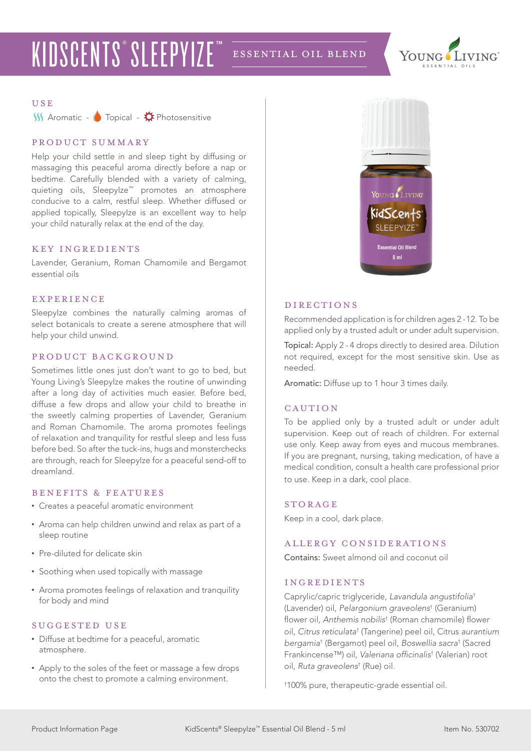## KIDSCENTS<sup>®</sup> SLEEPYIZE™ ESSENTIAL OIL BLEND



#### **USE**

 $M$  Aromatic -  $\bullet$  Topical -  $\stackrel{\bullet}{\bullet}$  Photosensitive

#### product summary

Help your child settle in and sleep tight by diffusing or massaging this peaceful aroma directly before a nap or bedtime. Carefully blended with a variety of calming, quieting oils, Sleepylze™ promotes an atmosphere conducive to a calm, restful sleep. Whether diffused or applied topically. Sleepylze is an excellent way to help your child naturally relax at the end of the day.

#### KEY INGREDIENTS

Lavender, Geranium, Roman Chamomile and Bergamot essential oils

#### **EXPERIENCE**

SleepyIze combines the naturally calming aromas of select botanicals to create a serene atmosphere that will help your child unwind.

#### product background

Sometimes little ones just don't want to go to bed, but Young Living's SleepyIze makes the routine of unwinding after a long day of activities much easier. Before bed, diffuse a few drops and allow your child to breathe in the sweetly calming properties of Lavender, Geranium and Roman Chamomile. The aroma promotes feelings of relaxation and tranquility for restful sleep and less fuss before bed. So after the tuck-ins, hugs and monsterchecks are through, reach for SleepyIze for a peaceful send-off to dreamland.

#### benefits & features

- Creates a peaceful aromatic environment
- Aroma can help children unwind and relax as part of a sleep routine
- Pre-diluted for delicate skin
- Soothing when used topically with massage
- Aroma promotes feelings of relaxation and tranquility for body and mind

#### SUGGESTED USE

- Diffuse at bedtime for a peaceful, aromatic atmosphere.
- Apply to the soles of the feet or massage a few drops onto the chest to promote a calming environment.



#### **DIRECTIONS**

Recommended application is for children ages 2 -12. To be applied only by a trusted adult or under adult supervision.

Topical: Apply 2 - 4 drops directly to desired area. Dilution not required, except for the most sensitive skin. Use as needed.

Aromatic: Diffuse up to 1 hour 3 times daily.

#### CAUTION

To be applied only by a trusted adult or under adult supervision. Keep out of reach of children. For external use only. Keep away from eyes and mucous membranes. If you are pregnant, nursing, taking medication, of have a medical condition, consult a health care professional prior to use. Keep in a dark, cool place.

#### **STORAGE**

Keep in a cool, dark place.

#### allergy considerations

Contains: Sweet almond oil and coconut oil

#### ingredients

Caprylic/capric triglyceride, *Lavandula angustifolia*† (Lavender) oil, *Pelargonium graveolens*† (Geranium) flower oil, *Anthemis nobilis*† (Roman chamomile) flower oil, *Citrus reticulata*† (Tangerine) peel oil, Citrus *aurantium bergamia*† (Bergamot) peel oil, *Boswellia sacra*† (Sacred Frankincense™) oil, Valeriana officinalis† (Valerian) root oil, *Ruta graveolens*† (Rue) oil.

† 100% pure, therapeutic-grade essential oil.